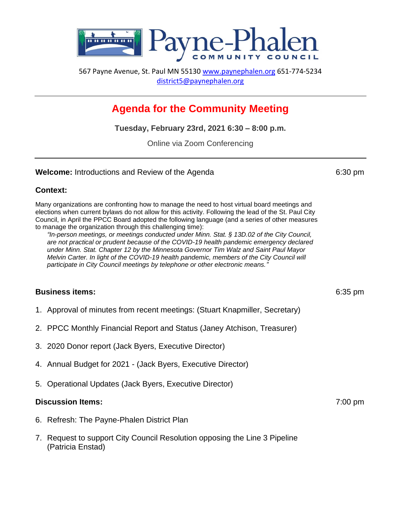

567 Payne Avenue, St. Paul MN 55130 [www.paynephalen.org](http://www.paynephalen.org/) 651-774-5234 [district5@paynephalen.org](mailto:district5@paynephalen.org)

# **Agenda for the Community Meeting**

**Tuesday, February 23rd, 2021 6:30 – 8:00 p.m.**

Online via Zoom Conferencing

#### **Welcome:** Introductions and Review of the Agenda 6:30 pm

### **Context:**

Many organizations are confronting how to manage the need to host virtual board meetings and elections when current bylaws do not allow for this activity. Following the lead of the St. Paul City Council, in April the PPCC Board adopted the following language (and a series of other measures to manage the organization through this challenging time):

*"In-person meetings, or meetings conducted under Minn. Stat. § 13D.02 of the City Council, are not practical or prudent because of the COVID-19 health pandemic emergency declared under Minn. Stat. Chapter 12 by the Minnesota Governor Tim Walz and Saint Paul Mayor Melvin Carter. In light of the COVID-19 health pandemic, members of the City Council will participate in City Council meetings by telephone or other electronic means."*

### **Business items:** 6:35 pm

- 1. Approval of minutes from recent meetings: (Stuart Knapmiller, Secretary)
- 2. PPCC Monthly Financial Report and Status (Janey Atchison, Treasurer)
- 3. 2020 Donor report (Jack Byers, Executive Director)
- 4. Annual Budget for 2021 (Jack Byers, Executive Director)
- 5. Operational Updates (Jack Byers, Executive Director)

#### **Discussion Items:** 7:00 pm

- 6. Refresh: The Payne-Phalen District Plan
- 7. Request to support City Council Resolution opposing the Line 3 Pipeline (Patricia Enstad)